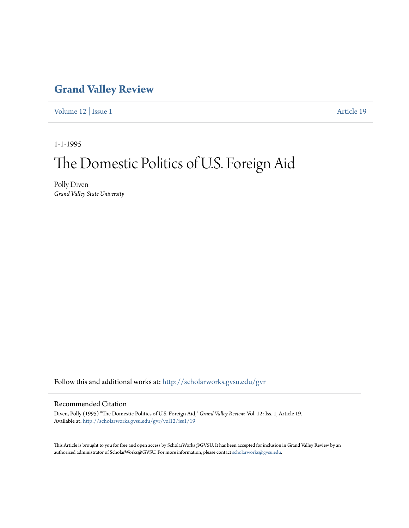## **[Grand Valley Review](http://scholarworks.gvsu.edu/gvr?utm_source=scholarworks.gvsu.edu%2Fgvr%2Fvol12%2Fiss1%2F19&utm_medium=PDF&utm_campaign=PDFCoverPages)**

[Volume 12](http://scholarworks.gvsu.edu/gvr/vol12?utm_source=scholarworks.gvsu.edu%2Fgvr%2Fvol12%2Fiss1%2F19&utm_medium=PDF&utm_campaign=PDFCoverPages) | [Issue 1](http://scholarworks.gvsu.edu/gvr/vol12/iss1?utm_source=scholarworks.gvsu.edu%2Fgvr%2Fvol12%2Fiss1%2F19&utm_medium=PDF&utm_campaign=PDFCoverPages) [Article 19](http://scholarworks.gvsu.edu/gvr/vol12/iss1/19?utm_source=scholarworks.gvsu.edu%2Fgvr%2Fvol12%2Fiss1%2F19&utm_medium=PDF&utm_campaign=PDFCoverPages)

1-1-1995

# The Domestic Politics of U.S. Foreign Aid

Polly Diven *Grand Valley State University*

Follow this and additional works at: [http://scholarworks.gvsu.edu/gvr](http://scholarworks.gvsu.edu/gvr?utm_source=scholarworks.gvsu.edu%2Fgvr%2Fvol12%2Fiss1%2F19&utm_medium=PDF&utm_campaign=PDFCoverPages)

### Recommended Citation

Diven, Polly (1995) "The Domestic Politics of U.S. Foreign Aid," *Grand Valley Review*: Vol. 12: Iss. 1, Article 19. Available at: [http://scholarworks.gvsu.edu/gvr/vol12/iss1/19](http://scholarworks.gvsu.edu/gvr/vol12/iss1/19?utm_source=scholarworks.gvsu.edu%2Fgvr%2Fvol12%2Fiss1%2F19&utm_medium=PDF&utm_campaign=PDFCoverPages)

This Article is brought to you for free and open access by ScholarWorks@GVSU. It has been accepted for inclusion in Grand Valley Review by an authorized administrator of ScholarWorks@GVSU. For more information, please contact [scholarworks@gvsu.edu.](mailto:scholarworks@gvsu.edu)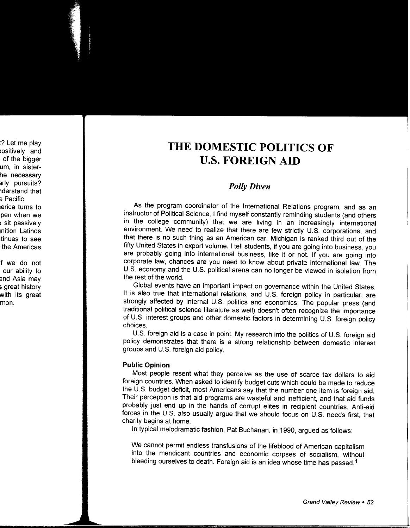# **THE DOMESTIC POLITICS OF U.S. FOREIGN AID**

## *Polly Diven*

As the program coordinator of the International Relations program, and as an instructor of Political Science, I find myself constantly reminding students (and others in the college community) that we are living in an increasingly international environment. We need to realize that there are few strictly U.S. corporations, and that there is no such thing as an American car. Michigan is ranked third out of the fifty United States in export volume. I tell students, if you are going into business, you are probably going into international business, like it or not. If you are going into corporate law, chances are you need to know about private international law. The U.S. economy and the U.S. political arena can no longer be viewed in isolation from the rest of the world.

Global events have an important impact on governance within the United States. It is also true that international relations, and U.S. foreign policy in particular, are strongly affected by internal U.S. politics and economics. The popular press (and traditional political science literature as well) doesn't often recognize the importance of U.S. interest groups and other domestic factors in determining U.S. foreign policy choices.

U.S. foreign aid is a case in point. My research into the politics of U.S. foreign aid policy demonstrates that there is a strong relationship between domestic interest groups and U.S. foreign aid policy.

#### **Public Opinion**

Most people resent what they perceive as the use of scarce tax dollars to aid foreign countries. When asked to identify budget cuts which could be made to reduce the U.S. budget deficit, most Americans say that the number one item is foreign aid. Their perception is that aid programs are wasteful and inefficient, and that aid funds probably just end up in the hands of corrupt elites in recipient countries. Anti-aid forces in the U.S. also usually argue that we should focus on U.S. needs first, that charity begins at home.

In typical melodramatic fashion, Pat Buchanan, in 1990, argued as follows:

We cannot permit endless transfusions of the lifeblood of American capitalism into the mendicant countries and economic corpses of socialism, without bleeding ourselves to death. Foreign aid is an idea whose time has passed.<sup>1</sup>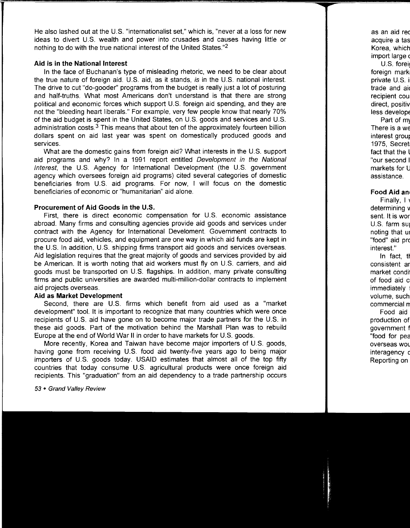He also lashed out at the U.S. "internationalist set," which is, "never at a loss for new ideas to divert U.S. wealth and power into crusades and causes having little or nothing to do with the true national interest of the United States."2

#### **Aid is in the National Interest**

In the face of Buchanan's type of misleading rhetoric, we need to be clear about the true nature of foreign aid. U.S. aid, as it stands, is in the U.S. national interest. The drive to cut "do-gooder" programs from the budget is really just a lot of posturing and half-truths. What most Americans don't understand is that there are strong political and economic forces which support U.S. foreign aid spending, and they are not the "bleeding heart liberals." For example, very few people know that nearly 70% of the aid budget is spent in the United States, on U.S. goods and services and U.S. administration costs. $3$  This means that about ten of the approximately fourteen billion dollars spent on aid last year was spent on domestically produced goods and services.

What are the domestic gains from foreign aid? What interests in the U.S. support aid programs and why? In a 1991 report entitled Development in the National Interest, the U.S. Agency for International Development (the U.S. government agency which oversees foreign aid programs) cited several categories of domestic beneficiaries from U.S. aid programs. For now, I will focus on the domestic beneficiaries of economic or "humanitarian" aid alone.

#### **Procurement of Aid Goods in the U.S.**

First, there is direct economic compensation for U.S. economic assistance abroad. Many firms and consulting agencies provide aid goods and services under contract with the Agency for International Develoment. Government contracts to procure food aid, vehicles, and equipment are one way in which aid funds are kept in the U.S. In addition, U.S. shipping firms transport aid goods and services overseas. Aid legislation requires that the great majority of goods and services provided by aid be American. It is worth noting that aid workers must fly on U.S. carriers, and aid goods must be transported on U.S. flagships. In addition, many private consulting firms and public universities are awarded multi-million-dollar contracts to implement aid projects overseas.

#### **Aid as Market Development**

Second, there are U.S. firms which benefit from aid used as a "market development" tool. It is important to recognize that many countries which were once recipients of U.S. aid have gone on to become major trade partners for the U.S. in these aid goods. Part of the motivation behind the Marshall Plan was to rebuild Europe at the end of World War II in order to have markets for U.S. goods.

More recently, Korea and Taiwan have become major importers of U.S. goods, having gone from receiving U.S. food aid twenty-five years ago to being major importers of U.S. goods today. USAID estimates that almost all of the top fifty countries that today consume U.S. agricultural products were once foreign aid recipients. This "graduation" from an aid dependency to a trade partnership occurs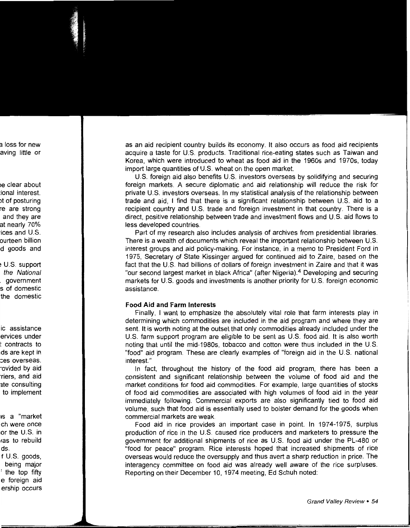as an aid recipient country builds its economy. It also occurs as food aid recipients acquire a taste for U.S. products. Traditional rice-eating states such as Taiwan and Korea, which were introduced to wheat as food aid in the 1960s and 1970s, today import large quantities of U.S. wheat on the open market.

U.S. foreign aid also benefits U.S. investors overseas by solidifying and securing foreign markets. A secure diplomatic and aid relationship will reduce the risk for private U.S. investors overseas. In my statistical analysis of the relationship between trade and aid, I find that there is a significant relationship between U.S. aid to a recipient country and U.S. trade and foreign investment in that country. There is a direct, positive relationship between trade and investment flows and U.S. aid flows to less developed countries.

Part of my research also includes analysis of archives from presidential libraries. There is a wealth of documents which reveal the important relationship between U.S. interest groups and aid policy-making. For instance, in a memo to President Ford in 1975, Secretary of State Kissinger argued for continued aid to Zaire, based on the fact that the U.S. had billions of dollars of foreign investment in Zaire and that it was "our second largest market in black Africa" (after Nigeria).<sup>4</sup> Developing and securing markets for U.S. goods and investments is another priority for U.S. foreign economic assistance.

#### **Food Aid and Farm Interests**

Finally, I want to emphasize the absolutely vital role that farm interests play in determining which commodities are included in the aid program and where they are sent. It is worth noting at the outset that only commodities already included under the U.S. farm support program are eligible to be sent as U.S. food aid. It is also worth noting that until the mid-1980s, tobacco and cotton were thus included in the U.S. "food" aid program. These are clearly examples of "foreign aid in the U.S. national interest."

In fact, throughout the history of the food aid program, there has been a consistent and significant relationship between the volume of food aid and the market conditions for food aid commodities. For example, large quantities of stocks of food aid commodities are associated with high volumes of food aid in the year immediately following. Commercial exports are also significantly tied to food aid volume, such that food aid is essentially used to bolster demand for the goods when commercial markets are weak.

Food aid in rice provides an important case in point. In 1974-1975, surplus production of rice in the U.S. caused rice producers and marketers to pressure the government for additional shipments of rice as U.S. food aid under the PL-480 or "food for peace" program. Rice interests hoped that increased shipments of rice overseas would reduce the oversupply and thus avert a sharp reduction in price. The interagency committee on food aid was already well aware of the rice surpluses. Reporting on their December 10, 1974 meeting, Ed Schuh noted: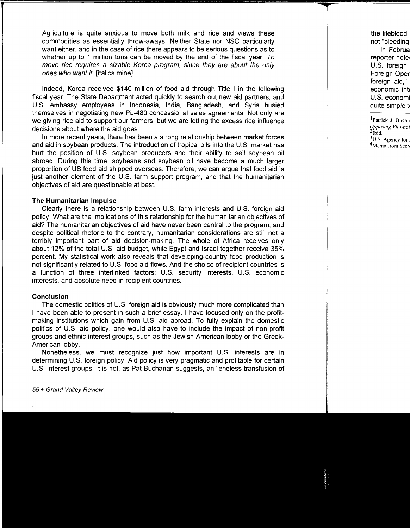Agriculture is quite anxious to move both milk and rice and views these commodities as essentially throw-aways. Neither State nor NSC particularly want either, and in the case of rice there appears to be serious questions as to whether up to 1 million tons can be moved by the end of the fiscal year. To move rice requires a sizable Korea program, since they are about the only ones who want it. [italics mine]

Indeed, Korea received \$140 million of food aid through Title I in the following fiscal year. The State Department acted quickly to search out new aid partners, and U.S. embassy employees in Indonesia, India, Bangladesh, and Syria busied themselves in negotiating new PL-480 concessional sales agreements. Not only are we giving rice aid to support our farmers, but we are letting the excess rice influence decisions about where the aid goes.

In more recent years, there has been a strong relationship between market forces and aid in soybean products. The introduction of tropical oils into the U.S. market has hurt the position of U.S. soybean producers and their ability to sell soybean oil abroad. During this time, soybeans and soybean oil have become a much larger proportion of US food aid shipped overseas. Therefore, we can argue that food aid is just another element of the U.S. farm support program, and that the humanitarian objectives of aid are questionable at best.

#### **The Humanitarian Impulse**

Clearly there is a relationship between U.S. farm interests and U.S. foreign aid policy. What are the implications of this relationship for the humanitarian objectives of aid? The humanitarian objectives of aid have never been central to the program, and despite political rhetoric to the contrary, humanitarian considerations are still not a terribly important part of aid decision-making. The whole of Africa receives only about 12% of the total U.S. aid budget, while Egypt and Israel together receive 35% percent. My statistical work also reveals that developing-country food production is not significantly related to U.S. food aid flows. And the choice of recipient countries is a function of three interlinked factors: U.S. security interests, U.S. economic interests, and absolute need in recipient countries.

#### **Conclusion**

The domestic politics of U.S. foreign aid is obviously much more complicated than I have been able to present in such a brief essay. I have focused only on the profitmaking institutions which gain from U.S. aid abroad. To fully explain the domestic politics of U.S. aid policy, one would also have to include the impact of non-profit groups and ethnic interest groups, such as the Jewish-American lobby or the Greek-American lobby.

Nonetheless, we must recognize just how important U.S. interests are in determining U.S. foreign policy. Aid policy is very pragmatic and profitable for certain U.S. interest groups. It is not, as Pat Buchanan suggests, an "endless transfusion of